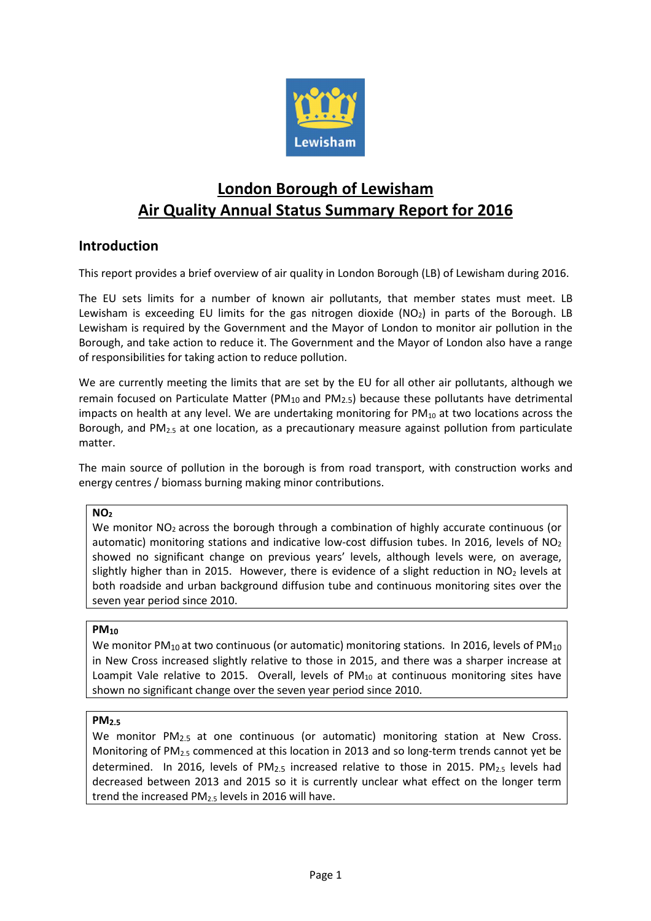

# **London Borough of Lewisham Air Quality Annual Status Summary Report for 2016**

### **Introduction**

This report provides a brief overview of air quality in London Borough (LB) of Lewisham during 2016.

The EU sets limits for a number of known air pollutants, that member states must meet. LB Lewisham is exceeding EU limits for the gas nitrogen dioxide  $(NO<sub>2</sub>)$  in parts of the Borough. LB Lewisham is required by the Government and the Mayor of London to monitor air pollution in the Borough, and take action to reduce it. The Government and the Mayor of London also have a range of responsibilities for taking action to reduce pollution.

We are currently meeting the limits that are set by the EU for all other air pollutants, although we remain focused on Particulate Matter ( $PM_{10}$  and  $PM_{2.5}$ ) because these pollutants have detrimental impacts on health at any level. We are undertaking monitoring for  $PM_{10}$  at two locations across the Borough, and  $PM_{2.5}$  at one location, as a precautionary measure against pollution from particulate matter.

The main source of pollution in the borough is from road transport, with construction works and energy centres / biomass burning making minor contributions.

#### **NO<sup>2</sup>**

We monitor  $NO<sub>2</sub>$  across the borough through a combination of highly accurate continuous (or automatic) monitoring stations and indicative low-cost diffusion tubes. In 2016, levels of  $NO<sub>2</sub>$ showed no significant change on previous years' levels, although levels were, on average, slightly higher than in 2015. However, there is evidence of a slight reduction in  $NO<sub>2</sub>$  levels at both roadside and urban background diffusion tube and continuous monitoring sites over the seven year period since 2010.

#### **PM10**

We monitor PM<sub>10</sub> at two continuous (or automatic) monitoring stations. In 2016, levels of PM<sub>10</sub> in New Cross increased slightly relative to those in 2015, and there was a sharper increase at Loampit Vale relative to 2015. Overall, levels of  $PM_{10}$  at continuous monitoring sites have shown no significant change over the seven year period since 2010.

#### **PM2.5**

We monitor PM<sub>2.5</sub> at one continuous (or automatic) monitoring station at New Cross. Monitoring of PM<sub>2.5</sub> commenced at this location in 2013 and so long-term trends cannot yet be determined. In 2016, levels of PM<sub>2.5</sub> increased relative to those in 2015. PM<sub>2.5</sub> levels had decreased between 2013 and 2015 so it is currently unclear what effect on the longer term trend the increased PM<sub>2.5</sub> levels in 2016 will have.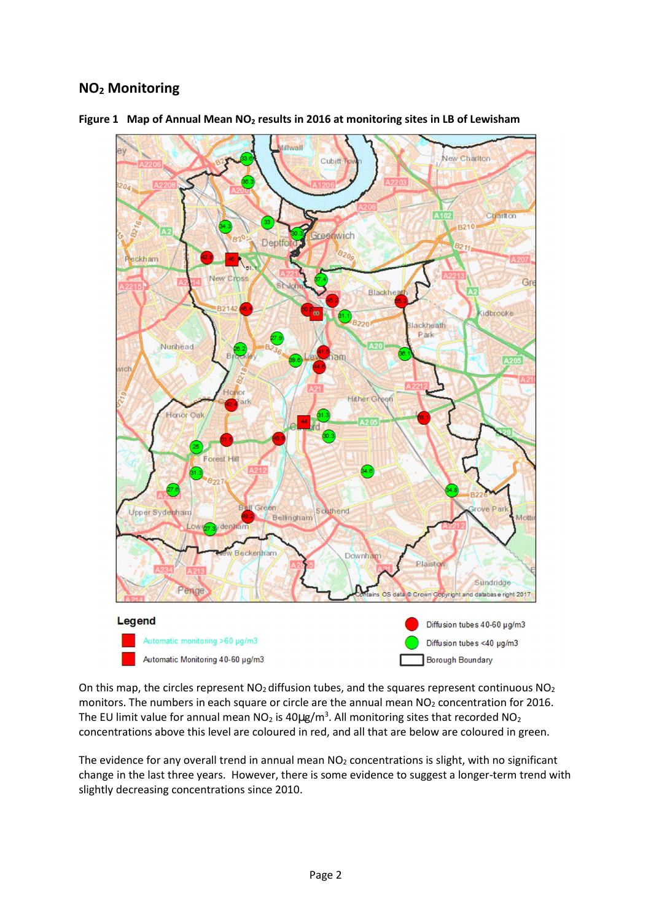# **NO2 Monitoring**



**Figure 1 Map of Annual Mean NO2 results in 2016 at monitoring sites in LB of Lewisham** 

On this map, the circles represent  $NO<sub>2</sub>$  diffusion tubes, and the squares represent continuous  $NO<sub>2</sub>$ monitors. The numbers in each square or circle are the annual mean  $NO<sub>2</sub>$  concentration for 2016. The EU limit value for annual mean  $NO<sub>2</sub>$  is 40 $\mu$ g/m<sup>3</sup>. All monitoring sites that recorded  $NO<sub>2</sub>$ concentrations above this level are coloured in red, and all that are below are coloured in green.

The evidence for any overall trend in annual mean  $NO<sub>2</sub>$  concentrations is slight, with no significant change in the last three years. However, there is some evidence to suggest a longer-term trend with slightly decreasing concentrations since 2010.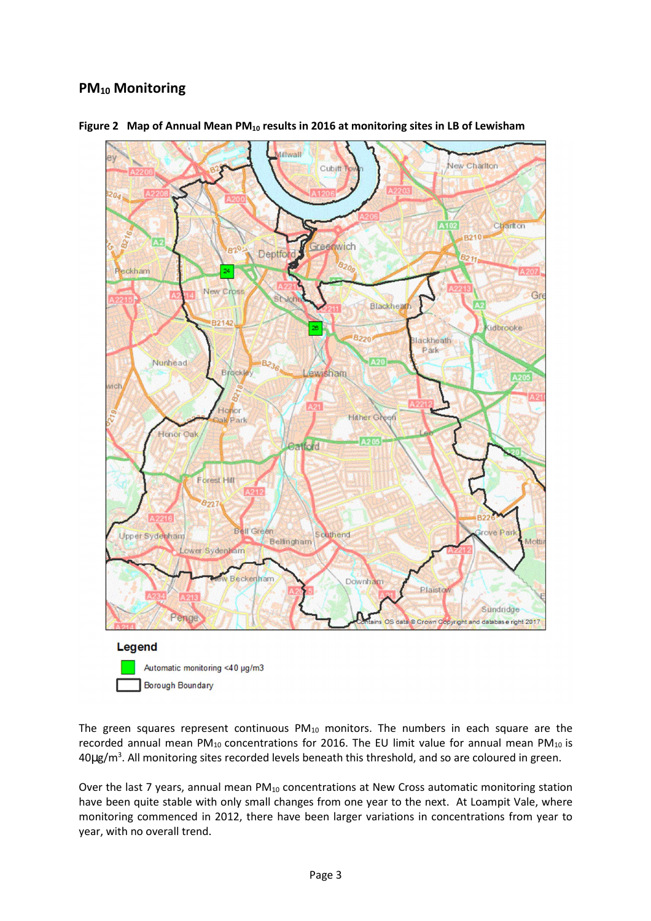# **PM10 Monitoring**



**Figure 2 Map of Annual Mean PM10 results in 2016 at monitoring sites in LB of Lewisham** 

The green squares represent continuous  $PM_{10}$  monitors. The numbers in each square are the recorded annual mean  $PM_{10}$  concentrations for 2016. The EU limit value for annual mean  $PM_{10}$  is 40µg/m<sup>3</sup> . All monitoring sites recorded levels beneath this threshold, and so are coloured in green.

Over the last 7 years, annual mean PM<sub>10</sub> concentrations at New Cross automatic monitoring station have been quite stable with only small changes from one year to the next. At Loampit Vale, where monitoring commenced in 2012, there have been larger variations in concentrations from year to year, with no overall trend.